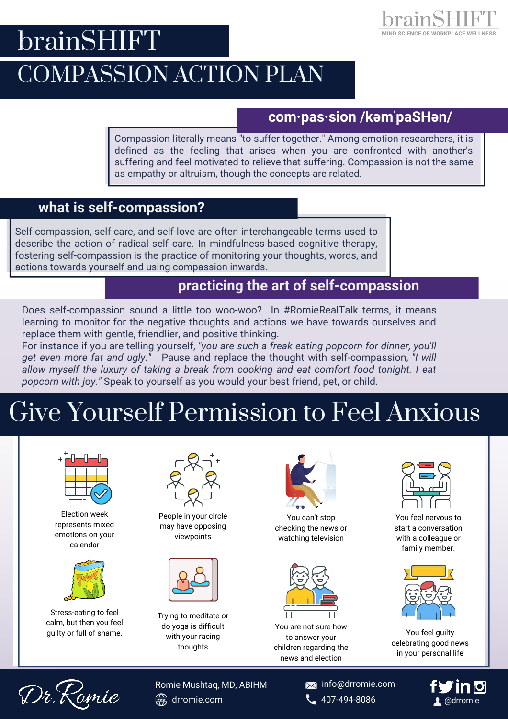# brainSHIFT



#### **com·pas·sion /kəmˈpaSHən/**

MIND SCIENCE OF WORKPLACE WELLNESS

Compassion literally means "to suffer together." Among emotion researchers, it is defined as the feeling that arises when you are confronted with another's suffering and feel motivated to relieve that suffering. Compassion is not the same as empathy or altruism, though the concepts are related.

#### **what is self-compassion?**

Self-compassion, self-care, and self-love are often interchangeable terms used to describe the action of radical self care. In mindfulness-based cognitive therapy, fostering self-compassion is the practice of monitoring your thoughts, words, and actions towards yourself and using compassion inwards.

### **practicing the art of self-compassion**

Does self-compassion sound a little too woo-woo? In #RomieRealTalk terms, it means learning to monitor for the negative thoughts and actions we have towards ourselves and replace them with gentle, friendlier, and positive thinking.

For instance if you are telling yourself, *"you are such a freak eating popcorn for dinner, you'll get even more fat and ugly."* Pause and replace the thought with self-compassion, *"I will allow myself the luxury of taking a break from cooking and eat comfort food tonight. I eat popcorn with joy."* Speak to yourself as you would your best friend, pet, or child.

# Give Yourself Permission to Feel Anxious



Election week represents mixed emotions on your calendar



Stress-eating to feel calm, but then you feel guilty or full of shame.



People in your circle may have opposing viewpoints



Trying to meditate or do yoga is difficult with your racing thoughts



You can't stop checking the news or watching television



You are not sure how to answer your children regarding the news and election



You feel nervous to start a conversation with a colleague or family member.



You feel guilty celebrating good news in your personal life



drromie.com **407-494-8086** Romie Mushtaq, MD, ABIHM

**X** info@drromie.com

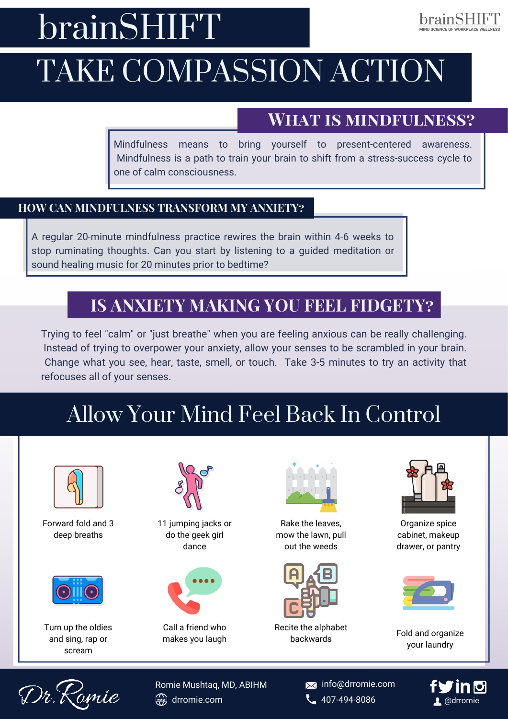# brainSHIFT

## brainSHIF"I

# TAKE COMPASSION ACTION

## **What is mindfulness?**

Mindfulness means to bring yourself to present-centered awareness. Mindfulness is a path to train your brain to shift from a stress-success cycle to one of calm consciousness.

#### **HOW CAN MINDFULNESS TRANSFORM MY ANXIETY?**

A regular 20-minute mindfulness practice rewires the brain within 4-6 weeks to stop ruminating thoughts. Can you start by listening to a guided meditation or sound healing music for 20 minutes prior to bedtime?

## **IS ANXIETY MAKING YOU FEEL FIDGETY?**

Trying to feel "calm" or "just breathe" when you are feeling anxious can be really challenging. Instead of trying to overpower your anxiety, allow your senses to be scrambled in your brain. Change what you see, hear, taste, smell, or touch. Take 3-5 minutes to try an activity that refocuses all of your senses.

## Allow Your Mind Feel Back In Control



Forward fold and 3 deep breaths



Turn up the oldies and sing, rap or scream



11 jumping jacks or do the geek girl dance



Call a friend who makes you laugh



Rake the leaves, mow the lawn, pull out the weeds



Recite the alphabet backwards



Organize spice cabinet, makeup drawer, or pantry



Fold and organize your laundry



Romie Mushtaq, MD, ABIHM  $\frac{dN}{2}$ drromie.com **407-494-8086** 

**X** info@drromie.com